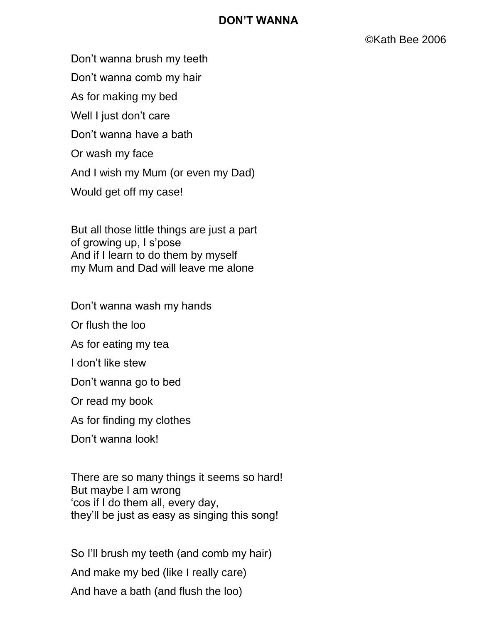## **DON'T WANNA**

Don't wanna brush my teeth

Don't wanna comb my hair

As for making my bed

Well I just don't care

Don't wanna have a bath

Or wash my face

And I wish my Mum (or even my Dad)

Would get off my case!

But all those little things are just a part of growing up, I s'pose And if I learn to do them by myself my Mum and Dad will leave me alone

Don't wanna wash my hands

Or flush the loo

As for eating my tea

I don't like stew

Don't wanna go to bed

Or read my book

As for finding my clothes

Don't wanna look!

There are so many things it seems so hard! But maybe I am wrong 'cos if I do them all, every day, they'll be just as easy as singing this song!

So I'll brush my teeth (and comb my hair) And make my bed (like I really care) And have a bath (and flush the loo)